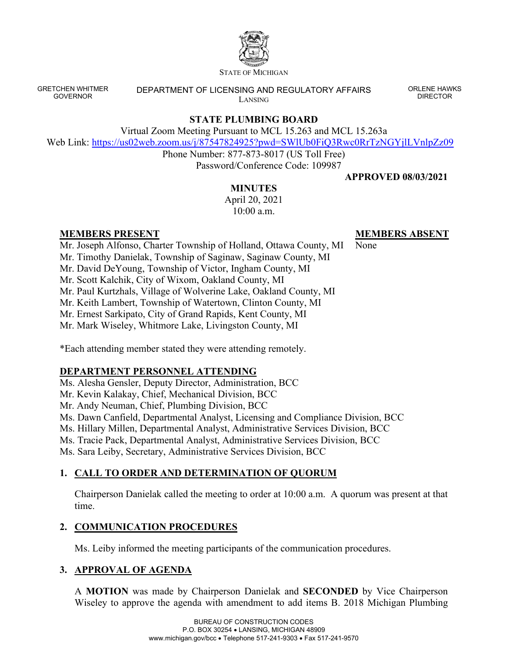

STATE OF MICHIGAN

GRETCHEN WHITMER GOVERNOR

DEPARTMENT OF LICENSING AND REGULATORY AFFAIRS LANSING

ORLENE HAWKS DIRECTOR

## **STATE PLUMBING BOARD**

Virtual Zoom Meeting Pursuant to MCL 15.263 and MCL 15.263a

Web Link: <https://us02web.zoom.us/j/87547824925?pwd=SWlUb0FiQ3Rwc0RrTzNGYjlLVnlpZz09>

Phone Number: 877-873-8017 (US Toll Free) Password/Conference Code: 109987

#### **APPROVED 08/03/2021**

**MEMBERS ABSENT**

#### **MINUTES**

April 20, 2021 10:00 a.m.

#### **MEMBERS PRESENT**

Mr. Joseph Alfonso, Charter Township of Holland, Ottawa County, MI None

Mr. Timothy Danielak, Township of Saginaw, Saginaw County, MI

Mr. David DeYoung, Township of Victor, Ingham County, MI

Mr. Scott Kalchik, City of Wixom, Oakland County, MI

Mr. Paul Kurtzhals, Village of Wolverine Lake, Oakland County, MI

Mr. Keith Lambert, Township of Watertown, Clinton County, MI

Mr. Ernest Sarkipato, City of Grand Rapids, Kent County, MI

Mr. Mark Wiseley, Whitmore Lake, Livingston County, MI

\*Each attending member stated they were attending remotely.

## **DEPARTMENT PERSONNEL ATTENDING**

Ms. Alesha Gensler, Deputy Director, Administration, BCC Mr. Kevin Kalakay, Chief, Mechanical Division, BCC Mr. Andy Neuman, Chief, Plumbing Division, BCC Ms. Dawn Canfield, Departmental Analyst, Licensing and Compliance Division, BCC Ms. Hillary Millen, Departmental Analyst, Administrative Services Division, BCC Ms. Tracie Pack, Departmental Analyst, Administrative Services Division, BCC Ms. Sara Leiby, Secretary, Administrative Services Division, BCC

# **1. CALL TO ORDER AND DETERMINATION OF QUORUM**

Chairperson Danielak called the meeting to order at 10:00 a.m. A quorum was present at that time.

# **2. COMMUNICATION PROCEDURES**

Ms. Leiby informed the meeting participants of the communication procedures.

## **3. APPROVAL OF AGENDA**

A **MOTION** was made by Chairperson Danielak and **SECONDED** by Vice Chairperson Wiseley to approve the agenda with amendment to add items B. 2018 Michigan Plumbing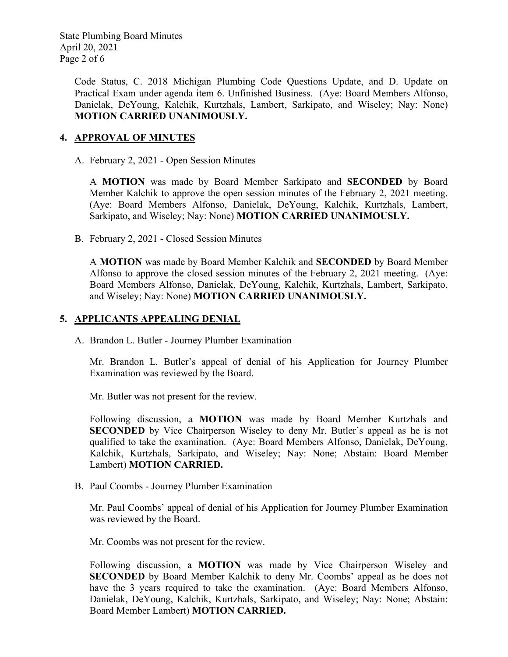State Plumbing Board Minutes April 20, 2021 Page 2 of 6

> Code Status, C. 2018 Michigan Plumbing Code Questions Update, and D. Update on Practical Exam under agenda item 6. Unfinished Business. (Aye: Board Members Alfonso, Danielak, DeYoung, Kalchik, Kurtzhals, Lambert, Sarkipato, and Wiseley; Nay: None) **MOTION CARRIED UNANIMOUSLY.**

### **4. APPROVAL OF MINUTES**

A. February 2, 2021 - Open Session Minutes

A **MOTION** was made by Board Member Sarkipato and **SECONDED** by Board Member Kalchik to approve the open session minutes of the February 2, 2021 meeting. (Aye: Board Members Alfonso, Danielak, DeYoung, Kalchik, Kurtzhals, Lambert, Sarkipato, and Wiseley; Nay: None) **MOTION CARRIED UNANIMOUSLY.**

B. February 2, 2021 - Closed Session Minutes

A **MOTION** was made by Board Member Kalchik and **SECONDED** by Board Member Alfonso to approve the closed session minutes of the February 2, 2021 meeting. (Aye: Board Members Alfonso, Danielak, DeYoung, Kalchik, Kurtzhals, Lambert, Sarkipato, and Wiseley; Nay: None) **MOTION CARRIED UNANIMOUSLY.**

#### **5. APPLICANTS APPEALING DENIAL**

A. Brandon L. Butler - Journey Plumber Examination

Mr. Brandon L. Butler's appeal of denial of his Application for Journey Plumber Examination was reviewed by the Board.

Mr. Butler was not present for the review.

Following discussion, a **MOTION** was made by Board Member Kurtzhals and **SECONDED** by Vice Chairperson Wiseley to deny Mr. Butler's appeal as he is not qualified to take the examination. (Aye: Board Members Alfonso, Danielak, DeYoung, Kalchik, Kurtzhals, Sarkipato, and Wiseley; Nay: None; Abstain: Board Member Lambert) **MOTION CARRIED.**

B. Paul Coombs - Journey Plumber Examination

Mr. Paul Coombs' appeal of denial of his Application for Journey Plumber Examination was reviewed by the Board.

Mr. Coombs was not present for the review.

Following discussion, a **MOTION** was made by Vice Chairperson Wiseley and **SECONDED** by Board Member Kalchik to deny Mr. Coombs' appeal as he does not have the 3 years required to take the examination. (Aye: Board Members Alfonso, Danielak, DeYoung, Kalchik, Kurtzhals, Sarkipato, and Wiseley; Nay: None; Abstain: Board Member Lambert) **MOTION CARRIED.**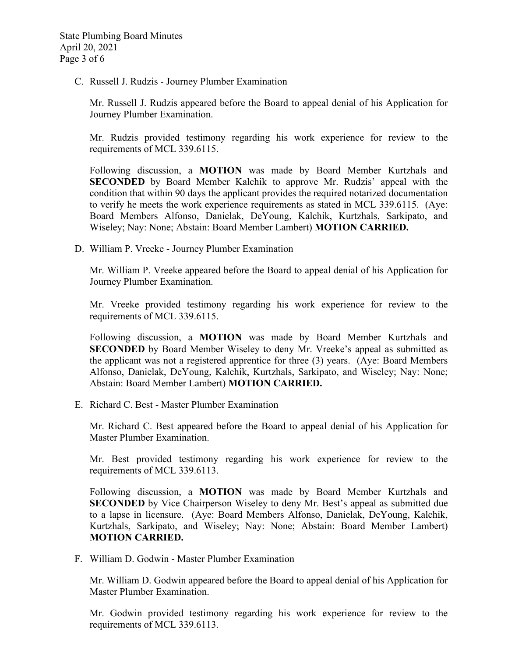C. Russell J. Rudzis - Journey Plumber Examination

Mr. Russell J. Rudzis appeared before the Board to appeal denial of his Application for Journey Plumber Examination.

Mr. Rudzis provided testimony regarding his work experience for review to the requirements of MCL 339.6115.

Following discussion, a **MOTION** was made by Board Member Kurtzhals and **SECONDED** by Board Member Kalchik to approve Mr. Rudzis' appeal with the condition that within 90 days the applicant provides the required notarized documentation to verify he meets the work experience requirements as stated in MCL 339.6115. (Aye: Board Members Alfonso, Danielak, DeYoung, Kalchik, Kurtzhals, Sarkipato, and Wiseley; Nay: None; Abstain: Board Member Lambert) **MOTION CARRIED.**

D. William P. Vreeke - Journey Plumber Examination

Mr. William P. Vreeke appeared before the Board to appeal denial of his Application for Journey Plumber Examination.

Mr. Vreeke provided testimony regarding his work experience for review to the requirements of MCL 339.6115.

Following discussion, a **MOTION** was made by Board Member Kurtzhals and **SECONDED** by Board Member Wiseley to deny Mr. Vreeke's appeal as submitted as the applicant was not a registered apprentice for three (3) years. (Aye: Board Members Alfonso, Danielak, DeYoung, Kalchik, Kurtzhals, Sarkipato, and Wiseley; Nay: None; Abstain: Board Member Lambert) **MOTION CARRIED.**

E. Richard C. Best - Master Plumber Examination

Mr. Richard C. Best appeared before the Board to appeal denial of his Application for Master Plumber Examination.

Mr. Best provided testimony regarding his work experience for review to the requirements of MCL 339.6113.

Following discussion, a **MOTION** was made by Board Member Kurtzhals and **SECONDED** by Vice Chairperson Wiseley to deny Mr. Best's appeal as submitted due to a lapse in licensure. (Aye: Board Members Alfonso, Danielak, DeYoung, Kalchik, Kurtzhals, Sarkipato, and Wiseley; Nay: None; Abstain: Board Member Lambert) **MOTION CARRIED.**

F. William D. Godwin - Master Plumber Examination

Mr. William D. Godwin appeared before the Board to appeal denial of his Application for Master Plumber Examination.

Mr. Godwin provided testimony regarding his work experience for review to the requirements of MCL 339.6113.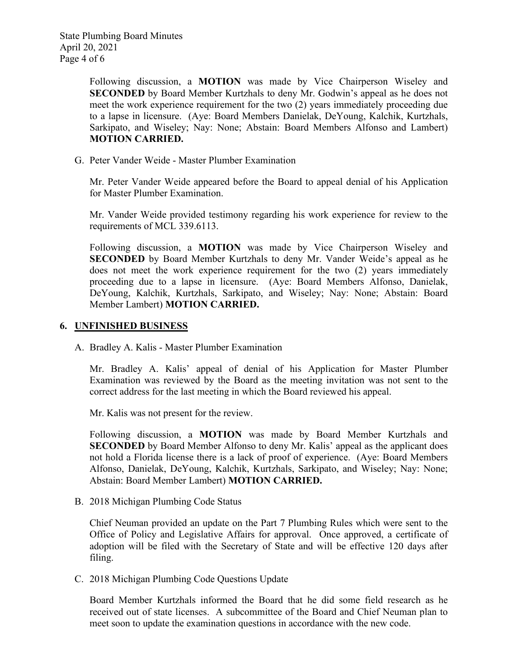Following discussion, a **MOTION** was made by Vice Chairperson Wiseley and **SECONDED** by Board Member Kurtzhals to deny Mr. Godwin's appeal as he does not meet the work experience requirement for the two (2) years immediately proceeding due to a lapse in licensure. (Aye: Board Members Danielak, DeYoung, Kalchik, Kurtzhals, Sarkipato, and Wiseley; Nay: None; Abstain: Board Members Alfonso and Lambert) **MOTION CARRIED.**

G. Peter Vander Weide - Master Plumber Examination

Mr. Peter Vander Weide appeared before the Board to appeal denial of his Application for Master Plumber Examination.

Mr. Vander Weide provided testimony regarding his work experience for review to the requirements of MCL 339.6113.

Following discussion, a **MOTION** was made by Vice Chairperson Wiseley and **SECONDED** by Board Member Kurtzhals to deny Mr. Vander Weide's appeal as he does not meet the work experience requirement for the two (2) years immediately proceeding due to a lapse in licensure. (Aye: Board Members Alfonso, Danielak, DeYoung, Kalchik, Kurtzhals, Sarkipato, and Wiseley; Nay: None; Abstain: Board Member Lambert) **MOTION CARRIED.**

#### **6. UNFINISHED BUSINESS**

A. Bradley A. Kalis - Master Plumber Examination

Mr. Bradley A. Kalis' appeal of denial of his Application for Master Plumber Examination was reviewed by the Board as the meeting invitation was not sent to the correct address for the last meeting in which the Board reviewed his appeal.

Mr. Kalis was not present for the review.

Following discussion, a **MOTION** was made by Board Member Kurtzhals and **SECONDED** by Board Member Alfonso to deny Mr. Kalis' appeal as the applicant does not hold a Florida license there is a lack of proof of experience. (Aye: Board Members Alfonso, Danielak, DeYoung, Kalchik, Kurtzhals, Sarkipato, and Wiseley; Nay: None; Abstain: Board Member Lambert) **MOTION CARRIED.**

B. 2018 Michigan Plumbing Code Status

Chief Neuman provided an update on the Part 7 Plumbing Rules which were sent to the Office of Policy and Legislative Affairs for approval. Once approved, a certificate of adoption will be filed with the Secretary of State and will be effective 120 days after filing.

C. 2018 Michigan Plumbing Code Questions Update

Board Member Kurtzhals informed the Board that he did some field research as he received out of state licenses. A subcommittee of the Board and Chief Neuman plan to meet soon to update the examination questions in accordance with the new code.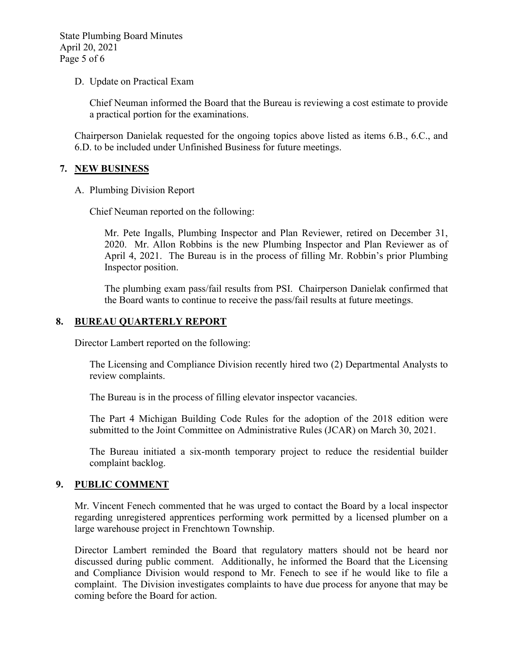State Plumbing Board Minutes April 20, 2021 Page 5 of 6

D. Update on Practical Exam

Chief Neuman informed the Board that the Bureau is reviewing a cost estimate to provide a practical portion for the examinations.

Chairperson Danielak requested for the ongoing topics above listed as items 6.B., 6.C., and 6.D. to be included under Unfinished Business for future meetings.

#### **7. NEW BUSINESS**

A. Plumbing Division Report

Chief Neuman reported on the following:

Mr. Pete Ingalls, Plumbing Inspector and Plan Reviewer, retired on December 31, 2020. Mr. Allon Robbins is the new Plumbing Inspector and Plan Reviewer as of April 4, 2021. The Bureau is in the process of filling Mr. Robbin's prior Plumbing Inspector position.

The plumbing exam pass/fail results from PSI. Chairperson Danielak confirmed that the Board wants to continue to receive the pass/fail results at future meetings.

#### **8. BUREAU QUARTERLY REPORT**

Director Lambert reported on the following:

The Licensing and Compliance Division recently hired two (2) Departmental Analysts to review complaints.

The Bureau is in the process of filling elevator inspector vacancies.

The Part 4 Michigan Building Code Rules for the adoption of the 2018 edition were submitted to the Joint Committee on Administrative Rules (JCAR) on March 30, 2021.

The Bureau initiated a six-month temporary project to reduce the residential builder complaint backlog.

#### **9. PUBLIC COMMENT**

Mr. Vincent Fenech commented that he was urged to contact the Board by a local inspector regarding unregistered apprentices performing work permitted by a licensed plumber on a large warehouse project in Frenchtown Township.

Director Lambert reminded the Board that regulatory matters should not be heard nor discussed during public comment. Additionally, he informed the Board that the Licensing and Compliance Division would respond to Mr. Fenech to see if he would like to file a complaint. The Division investigates complaints to have due process for anyone that may be coming before the Board for action.